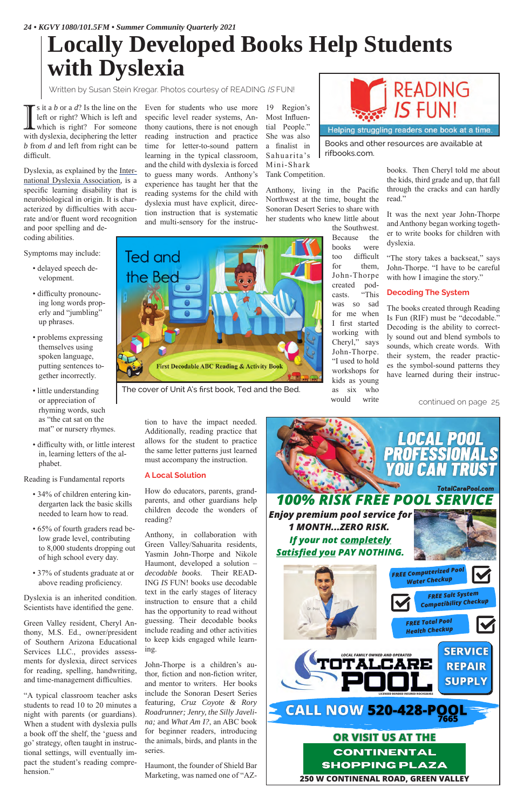$\prod$  s it a *b* or a *d*? Is the line on the left or right? Which is left and which is right? For someone with dyslexia, deciphering the letter left or right? Which is left and which is right? For someone *b* from *d* and left from right can be difficult.

Dyslexia, as explained by the International Dyslexia Association, is a specific learning disability that is neurobiological in origin. It is characterized by difficulties with accurate and/or fluent word recognition and poor spelling and de-

coding abilities.

Symptoms may include:

- delayed speech development.
- difficulty pronouncing long words properly and "jumbling" up phrases.
- problems expressing themselves using spoken language, putting sentences together incorrectly.
- little understanding or appreciation of rhyming words, such as "the cat sat on the mat" or nursery rhymes.
- difficulty with, or little interest in, learning letters of the alphabet.

"A typical classroom teacher asks students to read 10 to 20 minutes a night with parents (or guardians). When a student with dyslexia pulls a book off the shelf, the 'guess and go' strategy, often taught in instructional settings, will eventually impact the student's reading comprehension."

Reading is Fundamental reports

- 34% of children entering kindergarten lack the basic skills needed to learn how to read.
- 65% of fourth graders read below grade level, contributing to 8,000 students dropping out of high school every day.
- 37% of students graduate at or above reading proficiency.

s it a *b* or a *d*? Is the line on the Even for students who use more specific level reader systems, Anthony cautions, there is not enough reading instruction and practice time for letter-to-sound pattern learning in the typical classroom, and the child with dyslexia is forced to guess many words. Anthony's experience has taught her that the reading systems for the child with dyslexia must have explicit, direction instruction that is systematic and multi-sensory for the instruc-

Dyslexia is an inherited condition. Scientists have identified the gene.

Green Valley resident, Cheryl Anthony, M.S. Ed., owner/president of Southern Arizona Educational Services LLC., provides assessments for dyslexia, direct services for reading, spelling, handwriting, and time-management difficulties.

"The story takes a backseat," says John-Thorpe. "I have to be careful with how I imagine the story."

tion to have the impact needed. Additionally, reading practice that allows for the student to practice the same letter patterns just learned must accompany the instruction.

#### **A Local Solution**

How do educators, parents, grandparents, and other guardians help children decode the wonders of reading?

Anthony, in collaboration with Green Valley/Sahuarita residents, Yasmin John-Thorpe and Nikole Haumont, developed a solution – *decodable books*. Their READ-ING *IS* FUN! books use decodable text in the early stages of literacy instruction to ensure that a child has the opportunity to read without guessing. Their decodable books include reading and other activities to keep kids engaged while learning.

John-Thorpe is a children's author, fiction and non-fiction writer, and mentor to writers. Her books include the Sonoran Desert Series featuring, *Cruz Coyote & Rory Roadrunner; Jenry, the Silly Javelina;* and *What Am I?*, an ABC book for beginner readers, introducing the animals, birds, and plants in the series.

Haumont, the founder of Shield Bar Marketing, was named one of "AZ-

19 Region's Most Influential People." She was also a finalist in Sahuarita's Mini-Shark Tank Competition.

Anthony, living in the Pacific Northwest at the time, bought the Sonoran Desert Series to share with her students who knew little about

the Southwest. Because the books were too difficult for them, John-Thorpe created podcasts. "This was so sad for me when I first started working with Cheryl," says John-Thorpe. "I used to hold workshops for kids as young as six who would write



books. Then Cheryl told me about the kids, third grade and up, that fall through the cracks and can hardly read."

It was the next year John-Thorpe and Anthony began working together to write books for children with dyslexia.

### **Decoding The System**

The books created through Reading Is Fun (RIF) must be "decodable." Decoding is the ability to correctly sound out and blend symbols to sounds, which create words. With their system, the reader practices the symbol-sound patterns they have learned during their instruc-

# **Locally Developed Books Help Students with Dyslexia**

Written by Susan Stein Kregar. Photos courtesy of READING IS FUN!



**Ted and** the Bed **First Decodable ABC Reading & Activity Book** 

continued on page 25

The cover of Unit A's first book, Ted and the Bed.

Books and other resources are available at rifbooks.com.